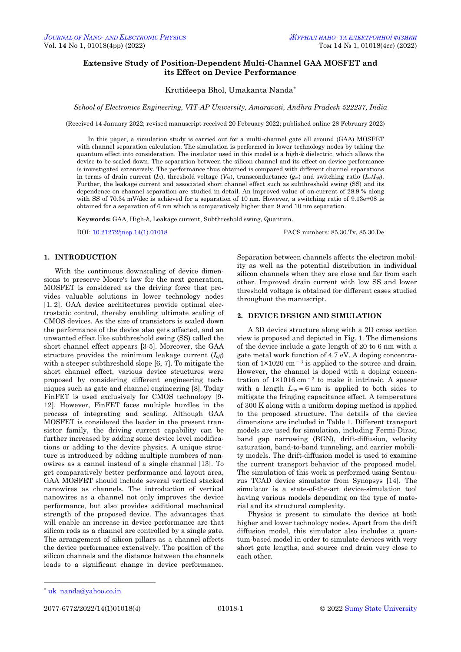# **Extensive Study of Position-Dependent Multi-Channel GAA MOSFET and its Effect on Device Performance**

Krutideepa Bhol, Umakanta Nanda\*

*School of Electronics Engineering, VIT-AP University, Amaravati, Andhra Pradesh 522237, India*

(Received 14 January 2022; revised manuscript received 20 February 2022; published online 28 February 2022)

In this paper, a simulation study is carried out for a multi-channel gate all around (GAA) MOSFET with channel separation calculation. The simulation is performed in lower technology nodes by taking the quantum effect into consideration. The insulator used in this model is a high-*k* dielectric, which allows the device to be scaled down. The separation between the silicon channel and its effect on device performance is investigated extensively. The performance thus obtained is compared with different channel separations in terms of drain current  $(I_D)$ , threshold voltage  $(V_{th})$ , transconductance  $(g_m)$  and switching ratio  $(I_{on}/I_{off})$ . Further, the leakage current and associated short channel effect such as subthreshold swing (SS) and its dependence on channel separation are studied in detail. An improved value of on-current of 28.9 % along with SS of 70.34 mV/dec is achieved for a separation of 10 nm. However, a switching ratio of 9.13e+08 is obtained for a separation of 6 nm which is comparatively higher than 9 and 10 nm separation.

**Keywords:** GAA, High-*k*, Leakage current, Subthreshold swing, Quantum.

DOI[: 10.21272/jnep.14\(1\).01018](https://doi.org/10.21272/jnep.14(1).01018) PACS numbers: 85.30.Tv, 85.30.De

## **1. INTRODUCTION**

With the continuous downscaling of device dimensions to preserve Moore's law for the next generation, MOSFET is considered as the driving force that provides valuable solutions in lower technology nodes [1, 2]. GAA device architectures provide optimal electrostatic control, thereby enabling ultimate scaling of CMOS devices. As the size of transistors is scaled down the performance of the device also gets affected, and an unwanted effect like subthreshold swing (SS) called the short channel effect appears [3-5]. Moreover, the GAA structure provides the minimum leakage current (*Ioff*) with a steeper subthreshold slope [6, 7]. To mitigate the short channel effect, various device structures were proposed by considering different engineering techniques such as gate and channel engineering [8]. Today FinFET is used exclusively for CMOS technology [9- 12]. However, FinFET faces multiple hurdles in the process of integrating and scaling. Although GAA MOSFET is considered the leader in the present transistor family, the driving current capability can be further increased by adding some device level modifications or adding to the device physics. A unique structure is introduced by adding multiple numbers of nanowires as a cannel instead of a single channel [13]. To get comparatively better performance and layout area, GAA MOSFET should include several vertical stacked nanowires as channels. The introduction of vertical nanowires as a channel not only improves the device performance, but also provides additional mechanical strength of the proposed device. The advantages that will enable an increase in device performance are that silicon rods as a channel are controlled by a single gate. The arrangement of silicon pillars as a channel affects the device performance extensively. The position of the silicon channels and the distance between the channels leads to a significant change in device performance.

Separation between channels affects the electron mobility as well as the potential distribution in individual silicon channels when they are close and far from each other. Improved drain current with low SS and lower threshold voltage is obtained for different cases studied throughout the manuscript.

### **2. DEVICE DESIGN AND SIMULATION**

A 3D device structure along with a 2D cross section view is proposed and depicted in Fig. 1. The dimensions of the device include a gate length of 20 to 6 nm with a gate metal work function of 4.7 eV. A doping concentration of  $1 \times 1020$  cm<sup>-3</sup> is applied to the source and drain. However, the channel is doped with a doping concentration of  $1\times1016$  cm<sup>-3</sup> to make it intrinsic. A spacer with a length  $L_{sp} = 6$  nm is applied to both sides to mitigate the fringing capacitance effect. A temperature of 300 K along with a uniform doping method is applied to the proposed structure. The details of the device dimensions are included in Table 1. Different transport models are used for simulation, including Fermi-Dirac, band gap narrowing (BGN), drift-diffusion, velocity saturation, band-to-band tunneling, and carrier mobility models. The drift-diffusion model is used to examine the current transport behavior of the proposed model. The simulation of this work is performed using Sentaurus TCAD device simulator from Synopsys [14]. The simulator is a state-of-the-art device-simulation tool having various models depending on the type of material and its structural complexity.

Physics is present to simulate the device at both higher and lower technology nodes. Apart from the drift diffusion model, this simulator also includes a quantum-based model in order to simulate devices with very short gate lengths, and source and drain very close to each other.

**.** 

<span id="page-0-3"></span><span id="page-0-2"></span><span id="page-0-1"></span><span id="page-0-0"></span>

<sup>\*</sup> [uk\\_nanda@yahoo.co.in](mailto:uk_nanda@yahoo.co.in)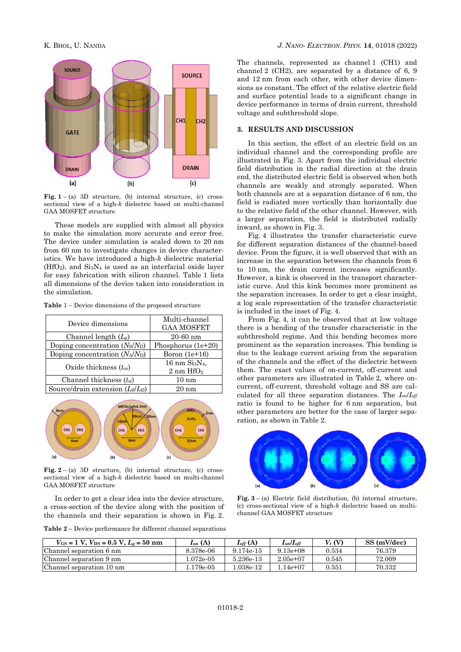

**Fig.**  $1 - (a)$  3D structure, (b) internal structure, (c) crosssectional view of a high-*k* dielectric based on multi-channel GAA MOSFET structure

These models are supplied with almost all physics to make the simulation more accurate and error free. The device under simulation is scaled down to 20 nm from 60 nm to investigate changes in device characteristics. We have introduced a high-*k* dielectric material  $(HfO<sub>2</sub>)$ , and  $Si<sub>3</sub>N<sub>4</sub>$  is used as an interfacial oxide layer for easy fabrication with silicon channel. Table 1 lists all dimensions of the device taken into consideration in the simulation.

**Table** 1 – Device dimensions of the proposed structure

| Device dimensions                 | Multi-channel<br><b>GAA MOSFET</b>                   |  |  |  |
|-----------------------------------|------------------------------------------------------|--|--|--|
| Channel length $(L_g)$            | $20 - 60$ nm                                         |  |  |  |
| Doping concentration $(N_S/N_D)$  | Phosphorus $(1e+20)$                                 |  |  |  |
| Doping concentration $(N_A/N_D)$  | Boron $(1e+16)$                                      |  |  |  |
| Oxide thickness $(t_{ox})$        | $16$ nm $Si3N4$ ,<br>$2 \text{ nm}$ HfO <sub>2</sub> |  |  |  |
| Channel thickness $(t_{si})$      | $10~\mathrm{nm}$                                     |  |  |  |
| Source/drain extension $(Ls/L_D)$ | 20 nm                                                |  |  |  |



**Fig.**  $2 - (a)$  3D structure, (b) internal structure, (c) crosssectional view of a high-*k* dielectric based on multi-channel GAA MOSFET structure

In order to get a clear idea into the device structure, a cross-section of the device along with the position of the channels and their separation is shown in Fig. 2.

**Table 2 –** Device performance for different channel separations

The channels, represented as channel 1 (CH1) and channel 2 (CH2), are separated by a distance of 6, 9 and 12 nm from each other, with other device dimensions as constant. The effect of the relative electric field and surface potential leads to a significant change in device performance in terms of drain current, threshold voltage and subthreshold slope.

## **3. RESULTS AND DISCUSSION**

In this section, the effect of an electric field on an individual channel and the corresponding profile are illustrated in Fig. 3. Apart from the individual electric field distribution in the radial direction at the drain end, the distributed electric field is observed when both channels are weakly and strongly separated. When both channels are at a separation distance of 6 nm, the field is radiated more vertically than horizontally due to the relative field of the other channel. However, with a larger separation, the field is distributed radially inward, as shown in Fig. 3.

Fig. 4 illustrates the transfer characteristic curve for different separation distances of the channel-based device. From the figure, it is well observed that with an increase in the separation between the channels from 6 to 10 nm, the drain current increases significantly. However, a kink is observed in the transport characteristic curve. And this kink becomes more prominent as the separation increases. In order to get a clear insight, a log scale representation of the transfer characteristic is included in the inset of Fig. 4.

From Fig. 4, it can be observed that at low voltage there is a bending of the transfer characteristic in the subthreshold regime. And this bending becomes more prominent as the separation increases. This bending is due to the leakage current arising from the separation of the channels and the effect of the dielectric between them. The exact values of on-current, off-current and other parameters are illustrated in Table 2, where oncurrent, off-current, threshold voltage and SS are calculated for all three separation distances. The *Ion*/*Ioff* ratio is found to be higher for 6 nm separation, but other parameters are better for the case of larger separation, as shown in Table 2.



**Fig.**  $3 - (a)$  Electric field distribution, (b) internal structure. (c) cross-sectional view of a high-*k* dielectric based on multichannel GAA MOSFET structure

| $V_{GS} = 1$ V, $V_{DS} = 0.5$ V, $L_g = 50$ nm | $I_{on}(\mathrm{A})$ | $I_{off}(\text{A})$ | $I_{on}/I_{off}$ | $V_t$ (V) | SS (mV/dec) |
|-------------------------------------------------|----------------------|---------------------|------------------|-----------|-------------|
| Channel separation 6 nm                         | 8.378e-06            | 9.174e-15           | $9.13e+08$       | 0.534     | 76.379      |
| Channel separation 9 nm                         | l.072e-05            | 5.236e-13           | $2.05e+07$       | 0.545     | 72.009      |
| Channel separation 10 nm                        | .179e-05             | $.038e-12$          | $1.14e+07$       | 0.551     | 70.332      |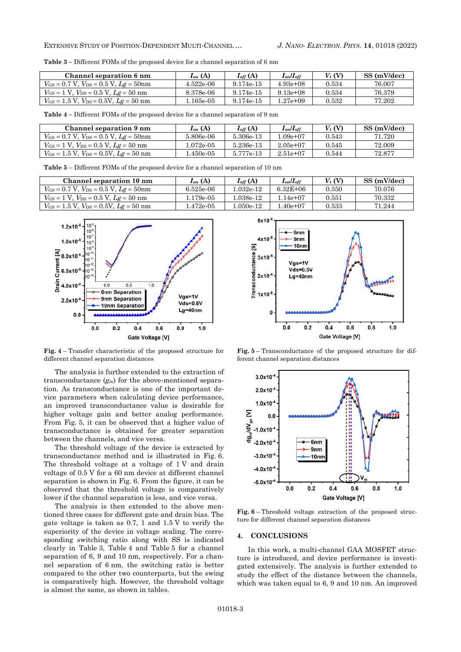**Table 3 –** Different FOMs of the proposed device for a channel separation of 6 nm

| Channel separation 6 nm                                  | $I_{on}(\mathbf{A})$ | $\boldsymbol{I_{off}\,(\text{A})}$ | $I_{on}/I_{off}$ | $V_t$ (V) | SS (mV/dec) |
|----------------------------------------------------------|----------------------|------------------------------------|------------------|-----------|-------------|
| $V_{\rm GS} = 0.7$ V, $V_{\rm DS} = 0.5$ V, $Lg = 50$ nm | 4.522e-06            | 9.174e-15                          | $4.93e+08$       | 0.534     | 76.007      |
| $V_{GS} = 1$ V, $V_{DS} = 0.5$ V, $Lg = 50$ nm           | 8.378e-06            | 9.174e-15                          | $9.13e+08$       | 0.534     | 76.379      |
| $V_{GS} = 1.5$ V, $V_{DS} = 0.5$ V, $Lg = 50$ nm         | .165e-05             | 9.174e-15                          | l.27e+09         | 0.532     | 77.202      |

**Table 4 –** Different FOMs of the proposed device for a channel separation of 9 nm

| Channel separation 9 nm                          | $I_{on}$ (A) | $I_{off}(\text{A})$ | $I_{on}/I_{off}$ | $V_t$ (V) | SS (mV/dec) |
|--------------------------------------------------|--------------|---------------------|------------------|-----------|-------------|
| $V_{GS} = 0.7$ V, $V_{DS} = 0.5$ V, $Lg = 50$ nm | 5.806e-06    | 5.306e-13           | $.09e+07$        | 0.543     | 71.720      |
| $V_{GS} = 1$ V, $V_{DS} = 0.5$ V, $Lg = 50$ nm   | 1.072e-05-   | 5.236e-13           | $2.05e{+}07$     | 0.545     | 72.009      |
| $V_{GS} = 1.5$ V, $V_{DS} = 0.5$ V, $Lg = 50$ nm | .450e-05     | 5.777e-13           | $2.51e+07$       | 0.544     | 72.877      |

**Table 5** – Different FOMs of the proposed device for a channel separation of 10 nm

| Channel separation 10 nm                         | $I_{on}(\mathbf{A})$ | $I_{off}(\text{A})$ | $I_{on}/I_{off}$ | $V_t$ (V) | SS (mV/dec) |
|--------------------------------------------------|----------------------|---------------------|------------------|-----------|-------------|
| $V_{GS} = 0.7$ V, $V_{DS} = 0.5$ V, $Lg = 50$ nm | 6.525e-06            | $.032e-12$          | $6.32E + 06$     | 0.550     | 70.076      |
| $V_{GS} = 1$ V, $V_{DS} = 0.5$ V, $Lg = 50$ nm   | l.179e-05-           | $.038e-12$          | * 14e+07         | 0.551     | 70.332      |
| $V_{GS} = 1.5$ V, $V_{DS} = 0.5$ V, $Lg = 50$ nm | $1.472e-0.5$         | $.050e-12$          | $.40e+07$        | 0.533     | 71.244      |



**Fig. 4** – Transfer characteristic of the proposed structure for different channel separation distances

The analysis is further extended to the extraction of transconductance (*gm*) for the above-mentioned separation. As transconductance is one of the important device parameters when calculating device performance, an improved transconductance value is desirable for higher voltage gain and better analog performance. From Fig. 5, it can be observed that a higher value of transconductance is obtained for greater separation between the channels, and vice versa.

The threshold voltage of the device is extracted by transconductance method and is illustrated in Fig. 6. The threshold voltage at a voltage of 1 V and drain voltage of 0.5 V for a 60 nm device at different channel separation is shown in Fig. 6. From the figure, it can be observed that the threshold voltage is comparatively lower if the channel separation is less, and vice versa.

The analysis is then extended to the above mentioned three cases for different gate and drain bias. The gate voltage is taken as 0.7, 1 and 1.5 V to verify the superiority of the device in voltage scaling. The corresponding switching ratio along with SS is indicated clearly in Table 3, Table 4 and Table 5 for a channel separation of 6, 9 and 10 nm, respectively. For a channel separation of 6 nm, the switching ratio is better compared to the other two counterparts, but the swing is comparatively high. However, the threshold voltage is almost the same, as shown in tables.



**Fig. 5** – Transconductance of the proposed structure for different channel separation distances



**Fig. 6** – Threshold voltage extraction of the proposed structure for different channel separation distances

#### **4. CONCLUSIONS**

In this work, a multi-channel GAA MOSFET structure is introduced, and device performance is investigated extensively. The analysis is further extended to study the effect of the distance between the channels, which was taken equal to 6, 9 and 10 nm. An improved